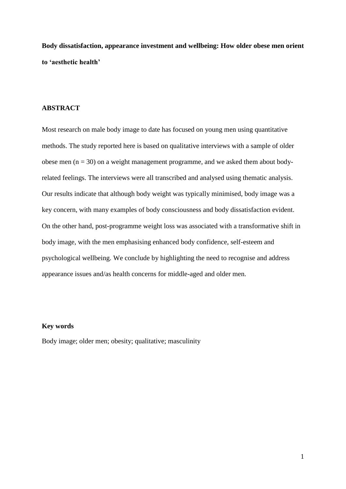**Body dissatisfaction, appearance investment and wellbeing: How older obese men orient to 'aesthetic health'**

# **ABSTRACT**

Most research on male body image to date has focused on young men using quantitative methods. The study reported here is based on qualitative interviews with a sample of older obese men  $(n = 30)$  on a weight management programme, and we asked them about bodyrelated feelings. The interviews were all transcribed and analysed using thematic analysis. Our results indicate that although body weight was typically minimised, body image was a key concern, with many examples of body consciousness and body dissatisfaction evident. On the other hand, post-programme weight loss was associated with a transformative shift in body image, with the men emphasising enhanced body confidence, self-esteem and psychological wellbeing. We conclude by highlighting the need to recognise and address appearance issues and/as health concerns for middle-aged and older men.

### **Key words**

Body image; older men; obesity; qualitative; masculinity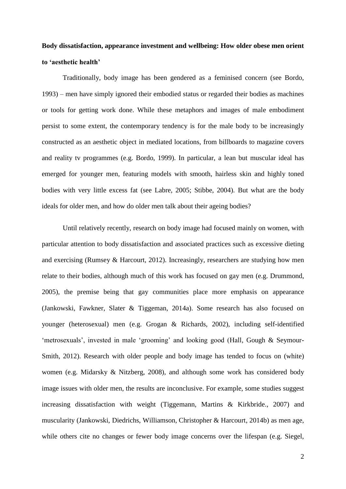# **Body dissatisfaction, appearance investment and wellbeing: How older obese men orient to 'aesthetic health'**

Traditionally, body image has been gendered as a feminised concern (see Bordo, 1993) – men have simply ignored their embodied status or regarded their bodies as machines or tools for getting work done. While these metaphors and images of male embodiment persist to some extent, the contemporary tendency is for the male body to be increasingly constructed as an aesthetic object in mediated locations, from billboards to magazine covers and reality tv programmes (e.g. Bordo, 1999). In particular, a lean but muscular ideal has emerged for younger men, featuring models with smooth, hairless skin and highly toned bodies with very little excess fat (see Labre, 2005; Stibbe, 2004). But what are the body ideals for older men, and how do older men talk about their ageing bodies?

Until relatively recently, research on body image had focused mainly on women, with particular attention to body dissatisfaction and associated practices such as excessive dieting and exercising (Rumsey & Harcourt, 2012). Increasingly, researchers are studying how men relate to their bodies, although much of this work has focused on gay men (e.g. Drummond, 2005), the premise being that gay communities place more emphasis on appearance (Jankowski, Fawkner, Slater & Tiggeman, 2014a). Some research has also focused on younger (heterosexual) men (e.g. Grogan & Richards, 2002), including self-identified 'metrosexuals', invested in male 'grooming' and looking good (Hall, Gough & Seymour-Smith, 2012). Research with older people and body image has tended to focus on (white) women (e.g. Midarsky & Nitzberg, 2008), and although some work has considered body image issues with older men, the results are inconclusive. For example, some studies suggest increasing dissatisfaction with weight (Tiggemann, Martins & Kirkbride., 2007) and muscularity (Jankowski, Diedrichs, Williamson, Christopher & Harcourt, 2014b) as men age, while others cite no changes or fewer body image concerns over the lifespan (e.g. Siegel,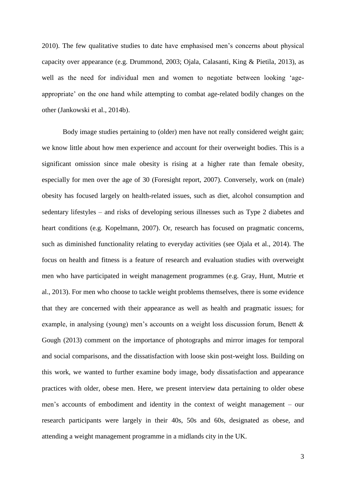2010). The few qualitative studies to date have emphasised men's concerns about physical capacity over appearance (e.g. Drummond, 2003; Ojala, Calasanti, King & Pietila, 2013), as well as the need for individual men and women to negotiate between looking 'ageappropriate' on the one hand while attempting to combat age-related bodily changes on the other (Jankowski et al., 2014b).

Body image studies pertaining to (older) men have not really considered weight gain; we know little about how men experience and account for their overweight bodies. This is a significant omission since male obesity is rising at a higher rate than female obesity, especially for men over the age of 30 (Foresight report, 2007). Conversely, work on (male) obesity has focused largely on health-related issues, such as diet, alcohol consumption and sedentary lifestyles – and risks of developing serious illnesses such as Type 2 diabetes and heart conditions (e.g. Kopelmann, 2007). Or, research has focused on pragmatic concerns, such as diminished functionality relating to everyday activities (see Ojala et al., 2014). The focus on health and fitness is a feature of research and evaluation studies with overweight men who have participated in weight management programmes (e.g. Gray, Hunt, Mutrie et al., 2013). For men who choose to tackle weight problems themselves, there is some evidence that they are concerned with their appearance as well as health and pragmatic issues; for example, in analysing (young) men's accounts on a weight loss discussion forum, Benett & Gough (2013) comment on the importance of photographs and mirror images for temporal and social comparisons, and the dissatisfaction with loose skin post-weight loss. Building on this work, we wanted to further examine body image, body dissatisfaction and appearance practices with older, obese men. Here, we present interview data pertaining to older obese men's accounts of embodiment and identity in the context of weight management – our research participants were largely in their 40s, 50s and 60s, designated as obese, and attending a weight management programme in a midlands city in the UK.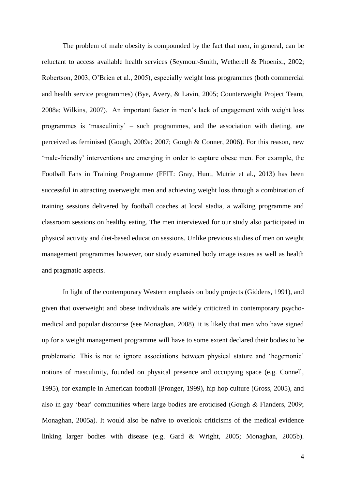The problem of male obesity is compounded by the fact that men, in general, can be reluctant to access available health services (Seymour-Smith, Wetherell & Phoenix., 2002; Robertson, 2003; O'Brien et al., 2005), especially weight loss programmes (both commercial and health service programmes) (Bye, Avery, & Lavin, 2005; Counterweight Project Team, 2008a; Wilkins, 2007). An important factor in men's lack of engagement with weight loss programmes is 'masculinity' – such programmes, and the association with dieting, are perceived as feminised (Gough, 2009a; 2007; Gough & Conner, 2006). For this reason, new 'male-friendly' interventions are emerging in order to capture obese men. For example, the Football Fans in Training Programme (FFIT: Gray, Hunt, Mutrie et al., 2013) has been successful in attracting overweight men and achieving weight loss through a combination of training sessions delivered by football coaches at local stadia, a walking programme and classroom sessions on healthy eating. The men interviewed for our study also participated in physical activity and diet-based education sessions. Unlike previous studies of men on weight management programmes however, our study examined body image issues as well as health and pragmatic aspects.

In light of the contemporary Western emphasis on body projects (Giddens, 1991), and given that overweight and obese individuals are widely criticized in contemporary psychomedical and popular discourse (see Monaghan, 2008), it is likely that men who have signed up for a weight management programme will have to some extent declared their bodies to be problematic. This is not to ignore associations between physical stature and 'hegemonic' notions of masculinity, founded on physical presence and occupying space (e.g. Connell, 1995), for example in American football (Pronger, 1999), hip hop culture (Gross, 2005), and also in gay 'bear' communities where large bodies are eroticised (Gough & Flanders, 2009; Monaghan, 2005a). It would also be naïve to overlook criticisms of the medical evidence linking larger bodies with disease (e.g. Gard & Wright, 2005; Monaghan, 2005b).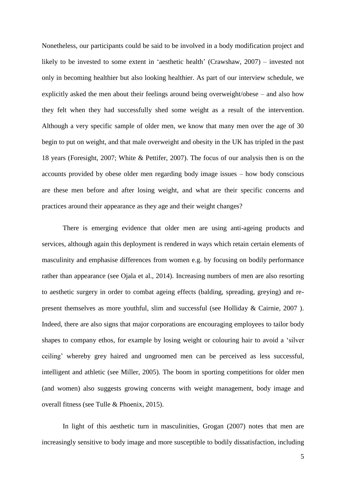Nonetheless, our participants could be said to be involved in a body modification project and likely to be invested to some extent in 'aesthetic health' (Crawshaw, 2007) – invested not only in becoming healthier but also looking healthier. As part of our interview schedule, we explicitly asked the men about their feelings around being overweight/obese – and also how they felt when they had successfully shed some weight as a result of the intervention. Although a very specific sample of older men, we know that many men over the age of 30 begin to put on weight, and that male overweight and obesity in the UK has tripled in the past 18 years (Foresight, 2007; White & Pettifer, 2007). The focus of our analysis then is on the accounts provided by obese older men regarding body image issues – how body conscious are these men before and after losing weight, and what are their specific concerns and practices around their appearance as they age and their weight changes?

There is emerging evidence that older men are using anti-ageing products and services, although again this deployment is rendered in ways which retain certain elements of masculinity and emphasise differences from women e.g. by focusing on bodily performance rather than appearance (see Ojala et al., 2014). Increasing numbers of men are also resorting to aesthetic surgery in order to combat ageing effects (balding, spreading, greying) and represent themselves as more youthful, slim and successful (see Holliday & Cairnie, 2007 ). Indeed, there are also signs that major corporations are encouraging employees to tailor body shapes to company ethos, for example by losing weight or colouring hair to avoid a 'silver ceiling' whereby grey haired and ungroomed men can be perceived as less successful, intelligent and athletic (see Miller, 2005). The boom in sporting competitions for older men (and women) also suggests growing concerns with weight management, body image and overall fitness (see Tulle & Phoenix, 2015).

In light of this aesthetic turn in masculinities, Grogan (2007) notes that men are increasingly sensitive to body image and more susceptible to bodily dissatisfaction, including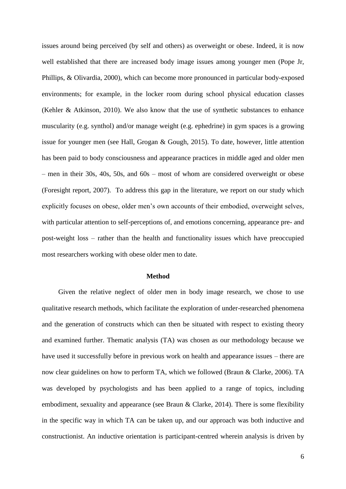issues around being perceived (by self and others) as overweight or obese. Indeed, it is now well established that there are increased body image issues among younger men (Pope Jr, Phillips, & Olivardia, 2000), which can become more pronounced in particular body-exposed environments; for example, in the locker room during school physical education classes (Kehler & Atkinson, 2010). We also know that the use of synthetic substances to enhance muscularity (e.g. synthol) and/or manage weight (e.g. ephedrine) in gym spaces is a growing issue for younger men (see Hall, Grogan & Gough, 2015). To date, however, little attention has been paid to body consciousness and appearance practices in middle aged and older men – men in their 30s, 40s, 50s, and 60s – most of whom are considered overweight or obese (Foresight report, 2007). To address this gap in the literature, we report on our study which explicitly focuses on obese, older men's own accounts of their embodied, overweight selves, with particular attention to self-perceptions of, and emotions concerning, appearance pre- and post-weight loss – rather than the health and functionality issues which have preoccupied most researchers working with obese older men to date.

# **Method**

Given the relative neglect of older men in body image research, we chose to use qualitative research methods, which facilitate the exploration of under-researched phenomena and the generation of constructs which can then be situated with respect to existing theory and examined further. Thematic analysis (TA) was chosen as our methodology because we have used it successfully before in previous work on health and appearance issues – there are now clear guidelines on how to perform TA, which we followed (Braun & Clarke, 2006). TA was developed by psychologists and has been applied to a range of topics, including embodiment, sexuality and appearance (see Braun & Clarke, 2014). There is some flexibility in the specific way in which TA can be taken up, and our approach was both inductive and constructionist. An inductive orientation is participant-centred wherein analysis is driven by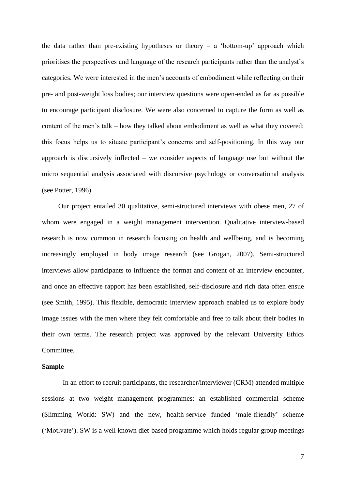the data rather than pre-existing hypotheses or theory  $-$  a 'bottom-up' approach which prioritises the perspectives and language of the research participants rather than the analyst's categories. We were interested in the men's accounts of embodiment while reflecting on their pre- and post-weight loss bodies; our interview questions were open-ended as far as possible to encourage participant disclosure. We were also concerned to capture the form as well as content of the men's talk – how they talked about embodiment as well as what they covered; this focus helps us to situate participant's concerns and self-positioning. In this way our approach is discursively inflected – we consider aspects of language use but without the micro sequential analysis associated with discursive psychology or conversational analysis (see Potter, 1996).

Our project entailed 30 qualitative, semi-structured interviews with obese men, 27 of whom were engaged in a weight management intervention. Qualitative interview-based research is now common in research focusing on health and wellbeing, and is becoming increasingly employed in body image research (see Grogan, 2007). Semi-structured interviews allow participants to influence the format and content of an interview encounter, and once an effective rapport has been established, self-disclosure and rich data often ensue (see Smith, 1995). This flexible, democratic interview approach enabled us to explore body image issues with the men where they felt comfortable and free to talk about their bodies in their own terms. The research project was approved by the relevant University Ethics Committee.

#### **Sample**

In an effort to recruit participants, the researcher/interviewer (CRM) attended multiple sessions at two weight management programmes: an established commercial scheme (Slimming World: SW) and the new, health-service funded 'male-friendly' scheme ('Motivate'). SW is a well known diet-based programme which holds regular group meetings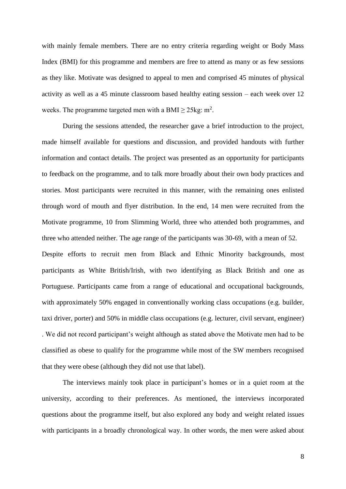with mainly female members. There are no entry criteria regarding weight or Body Mass Index (BMI) for this programme and members are free to attend as many or as few sessions as they like. Motivate was designed to appeal to men and comprised 45 minutes of physical activity as well as a 45 minute classroom based healthy eating session – each week over 12 weeks. The programme targeted men with a BMI  $\geq$  25kg: m<sup>2</sup>.

During the sessions attended, the researcher gave a brief introduction to the project, made himself available for questions and discussion, and provided handouts with further information and contact details. The project was presented as an opportunity for participants to feedback on the programme, and to talk more broadly about their own body practices and stories. Most participants were recruited in this manner, with the remaining ones enlisted through word of mouth and flyer distribution. In the end, 14 men were recruited from the Motivate programme, 10 from Slimming World, three who attended both programmes, and three who attended neither. The age range of the participants was 30-69, with a mean of 52. Despite efforts to recruit men from Black and Ethnic Minority backgrounds, most participants as White British/Irish, with two identifying as Black British and one as Portuguese. Participants came from a range of educational and occupational backgrounds, with approximately 50% engaged in conventionally working class occupations (e.g. builder, taxi driver, porter) and 50% in middle class occupations (e.g. lecturer, civil servant, engineer) . We did not record participant's weight although as stated above the Motivate men had to be classified as obese to qualify for the programme while most of the SW members recognised that they were obese (although they did not use that label).

The interviews mainly took place in participant's homes or in a quiet room at the university, according to their preferences. As mentioned, the interviews incorporated questions about the programme itself, but also explored any body and weight related issues with participants in a broadly chronological way. In other words, the men were asked about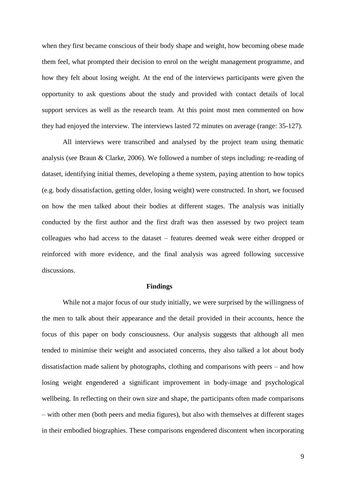when they first became conscious of their body shape and weight, how becoming obese made them feel, what prompted their decision to enrol on the weight management programme, and how they felt about losing weight. At the end of the interviews participants were given the opportunity to ask questions about the study and provided with contact details of local support services as well as the research team. At this point most men commented on how they had enjoyed the interview. The interviews lasted 72 minutes on average (range: 35-127).

All interviews were transcribed and analysed by the project team using thematic analysis (see Braun & Clarke, 2006). We followed a number of steps including: re-reading of dataset, identifying initial themes, developing a theme system, paying attention to how topics (e.g. body dissatisfaction, getting older, losing weight) were constructed. In short, we focused on how the men talked about their bodies at different stages. The analysis was initially conducted by the first author and the first draft was then assessed by two project team colleagues who had access to the dataset – features deemed weak were either dropped or reinforced with more evidence, and the final analysis was agreed following successive discussions.

# **Findings**

While not a major focus of our study initially, we were surprised by the willingness of the men to talk about their appearance and the detail provided in their accounts, hence the focus of this paper on body consciousness. Our analysis suggests that although all men tended to minimise their weight and associated concerns, they also talked a lot about body dissatisfaction made salient by photographs, clothing and comparisons with peers – and how losing weight engendered a significant improvement in body-image and psychological wellbeing. In reflecting on their own size and shape, the participants often made comparisons – with other men (both peers and media figures), but also with themselves at different stages in their embodied biographies. These comparisons engendered discontent when incorporating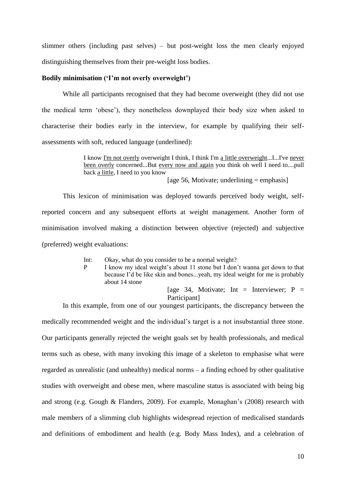slimmer others (including past selves) – but post-weight loss the men clearly enjoyed distinguishing themselves from their pre-weight loss bodies.

## **Bodily minimisation ('I'm not overly overweight')**

While all participants recognised that they had become overweight (they did not use the medical term 'obese'), they nonetheless downplayed their body size when asked to characterise their bodies early in the interview, for example by qualifying their selfassessments with soft, reduced language (underlined):

> I know I'm not overly overweight I think, I think I'm a little overweight...I...I've never been overly concerned...But every now and again you think oh well I need to....pull back a little, I need to you know

[age 56, Motivate; underlining  $=$  emphasis]

This lexicon of minimisation was deployed towards perceived body weight, selfreported concern and any subsequent efforts at weight management. Another form of minimisation involved making a distinction between objective (rejected) and subjective (preferred) weight evaluations:

Int: Okay, what do you consider to be a normal weight?

P I know my ideal weight's about 11 stone but I don't wanna get down to that because I'd be like skin and bones...yeah, my ideal weight for me is probably about 14 stone

[age 34, Motivate; Int = Interviewer;  $P =$ Participant<sub>1</sub>

In this example, from one of our youngest participants, the discrepancy between the

medically recommended weight and the individual's target is a not insubstantial three stone. Our participants generally rejected the weight goals set by health professionals, and medical terms such as obese, with many invoking this image of a skeleton to emphasise what were regarded as unrealistic (and unhealthy) medical norms – a finding echoed by other qualitative studies with overweight and obese men, where masculine status is associated with being big and strong (e.g. Gough & Flanders, 2009). For example, Monaghan's (2008) research with male members of a slimming club highlights widespread rejection of medicalised standards and definitions of embodiment and health (e.g. Body Mass Index), and a celebration of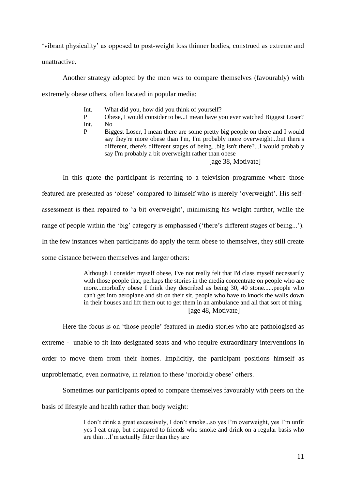'vibrant physicality' as opposed to post-weight loss thinner bodies, construed as extreme and unattractive.

Another strategy adopted by the men was to compare themselves (favourably) with extremely obese others, often located in popular media:

- Int. What did you, how did you think of yourself?
- P Obese, I would consider to be...I mean have you ever watched Biggest Loser? Int. No
- 
- P Biggest Loser, I mean there are some pretty big people on there and I would say they're more obese than I'm, I'm probably more overweight...but there's different, there's different stages of being...big isn't there?...I would probably say I'm probably a bit overweight rather than obese

[age 38, Motivate]

In this quote the participant is referring to a television programme where those featured are presented as 'obese' compared to himself who is merely 'overweight'. His selfassessment is then repaired to 'a bit overweight', minimising his weight further, while the range of people within the 'big' category is emphasised ('there's different stages of being...'). In the few instances when participants do apply the term obese to themselves, they still create some distance between themselves and larger others:

> Although I consider myself obese, I've not really felt that I'd class myself necessarily with those people that, perhaps the stories in the media concentrate on people who are more...morbidly obese I think they described as being 30, 40 stone......people who can't get into aeroplane and sit on their sit, people who have to knock the walls down in their houses and lift them out to get them in an ambulance and all that sort of thing [age 48, Motivate]

Here the focus is on 'those people' featured in media stories who are pathologised as extreme - unable to fit into designated seats and who require extraordinary interventions in order to move them from their homes. Implicitly, the participant positions himself as unproblematic, even normative, in relation to these 'morbidly obese' others.

Sometimes our participants opted to compare themselves favourably with peers on the basis of lifestyle and health rather than body weight:

> I don't drink a great excessively, I don't smoke...so yes I'm overweight, yes I'm unfit yes I eat crap, but compared to friends who smoke and drink on a regular basis who are thin…I'm actually fitter than they are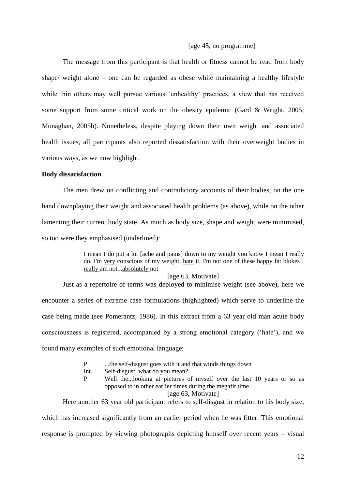#### [age 45, no programme]

The message from this participant is that health or fitness cannot be read from body shape/ weight alone – one can be regarded as obese while maintaining a healthy lifestyle while thin others may well pursue various 'unhealthy' practices, a view that has received some support from some critical work on the obesity epidemic (Gard & Wright, 2005; Monaghan, 2005b). Nonetheless, despite playing down their own weight and associated health issues, all participants also reported dissatisfaction with their overweight bodies in various ways, as we now highlight.

# **Body dissatisfaction**

The men drew on conflicting and contradictory accounts of their bodies, on the one hand downplaying their weight and associated health problems (as above), while on the other lamenting their current body state. As much as body size, shape and weight were minimised, so too were they emphasised (underlined):

> I mean I do put a lot [ache and pains] down to my weight you know I mean I really do, I'm very conscious of my weight, hate it, I'm not one of these happy fat blokes I really am not...absolutely not

> > [age 63, Motivate]

Just as a repertoire of terms was deployed to minimise weight (see above), here we encounter a series of extreme case formulations (highlighted) which serve to underline the case being made (see Pomerantz, 1986). In this extract from a 63 year old man acute body consciousness is registered, accompanied by a strong emotional category ('hate'), and we found many examples of such emotional language:

- P ...the self-disgust goes with it and that winds things down
- Int. Self-disgust, what do you mean?
- P Well the...looking at pictures of myself over the last 10 years or so as opposed to in other earlier times during the megafit time

[age 63, Motivate]

Here another 63 year old participant refers to self-disgust in relation to his body size, which has increased significantly from an earlier period when he was fitter. This emotional response is prompted by viewing photographs depicting himself over recent years – visual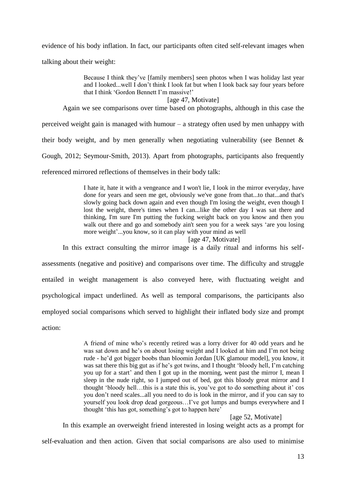evidence of his body inflation. In fact, our participants often cited self-relevant images when

talking about their weight:

Because I think they've [family members] seen photos when I was holiday last year and I looked...well I don't think I look fat but when I look back say four years before that I think 'Gordon Bennett I'm massive!'

[age 47, Motivate]

Again we see comparisons over time based on photographs, although in this case the

perceived weight gain is managed with humour – a strategy often used by men unhappy with their body weight, and by men generally when negotiating vulnerability (see Bennet & Gough, 2012; Seymour-Smith, 2013). Apart from photographs, participants also frequently

referenced mirrored reflections of themselves in their body talk:

I hate it, hate it with a vengeance and I won't lie, I look in the mirror everyday, have done for years and seen me get, obviously we've gone from that...to that...and that's slowly going back down again and even though I'm losing the weight, even though I lost the weight, there's times when I can...like the other day I was sat there and thinking, I'm sure I'm putting the fucking weight back on you know and then you walk out there and go and somebody ain't seen you for a week says 'are you losing more weight'...you know, so it can play with your mind as well

[age 47, Motivate]

In this extract consulting the mirror image is a daily ritual and informs his self-

assessments (negative and positive) and comparisons over time. The difficulty and struggle entailed in weight management is also conveyed here, with fluctuating weight and psychological impact underlined. As well as temporal comparisons, the participants also employed social comparisons which served to highlight their inflated body size and prompt action:

> A friend of mine who's recently retired was a lorry driver for 40 odd years and he was sat down and he's on about losing weight and I looked at him and I'm not being rude - he'd got bigger boobs than bloomin Jordan [UK glamour model], you know, it was sat there this big gut as if he's got twins, and I thought 'bloody hell, I'm catching you up for a start' and then I got up in the morning, went past the mirror I, mean I sleep in the nude right, so I jumped out of bed, got this bloody great mirror and I thought 'bloody hell…this is a state this is, you've got to do something about it' cos you don't need scales...all you need to do is look in the mirror, and if you can say to yourself you look drop dead gorgeous…I've got lumps and bumps everywhere and I thought 'this has got, something's got to happen here'

> > [age 52, Motivate]

In this example an overweight friend interested in losing weight acts as a prompt for

self-evaluation and then action. Given that social comparisons are also used to minimise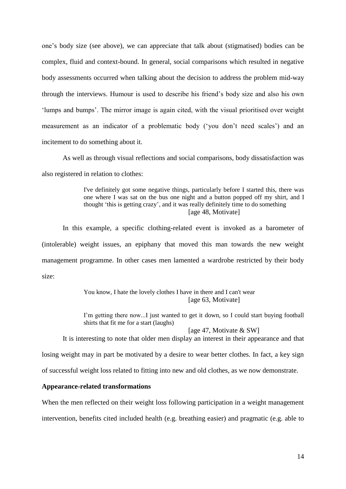one's body size (see above), we can appreciate that talk about (stigmatised) bodies can be complex, fluid and context-bound. In general, social comparisons which resulted in negative body assessments occurred when talking about the decision to address the problem mid-way through the interviews. Humour is used to describe his friend's body size and also his own 'lumps and bumps'. The mirror image is again cited, with the visual prioritised over weight measurement as an indicator of a problematic body ('you don't need scales') and an incitement to do something about it.

As well as through visual reflections and social comparisons, body dissatisfaction was also registered in relation to clothes:

> I've definitely got some negative things, particularly before I started this, there was one where I was sat on the bus one night and a button popped off my shirt, and I thought 'this is getting crazy', and it was really definitely time to do something [age 48, Motivate]

In this example, a specific clothing-related event is invoked as a barometer of (intolerable) weight issues, an epiphany that moved this man towards the new weight management programme. In other cases men lamented a wardrobe restricted by their body size:

> You know, I hate the lovely clothes I have in there and I can't wear [age 63, Motivate]

I'm getting there now...I just wanted to get it down, so I could start buying football shirts that fit me for a start (laughs)

[age 47, Motivate & SW]

It is interesting to note that older men display an interest in their appearance and that

losing weight may in part be motivated by a desire to wear better clothes. In fact, a key sign

of successful weight loss related to fitting into new and old clothes, as we now demonstrate.

# **Appearance-related transformations**

When the men reflected on their weight loss following participation in a weight management intervention, benefits cited included health (e.g. breathing easier) and pragmatic (e.g. able to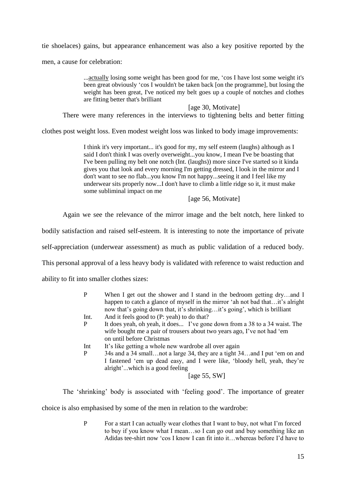tie shoelaces) gains, but appearance enhancement was also a key positive reported by the

men, a cause for celebration:

...actually losing some weight has been good for me, 'cos I have lost some weight it's been great obviously 'cos I wouldn't be taken back [on the programme], but losing the weight has been great, I've noticed my belt goes up a couple of notches and clothes are fitting better that's brilliant

[age 30, Motivate]

There were many references in the interviews to tightening belts and better fitting

clothes post weight loss. Even modest weight loss was linked to body image improvements:

I think it's very important... it's good for my, my self esteem (laughs) although as I said I don't think I was overly overweight...you know, I mean I've be boasting that I've been pulling my belt one notch (Int. (laughs)) more since I've started so it kinda gives you that look and every morning I'm getting dressed, I look in the mirror and I don't want to see no flab...you know I'm not happy...seeing it and I feel like my underwear sits properly now...I don't have to climb a little ridge so it, it must make some subliminal impact on me

# [age 56, Motivate]

Again we see the relevance of the mirror image and the belt notch, here linked to

bodily satisfaction and raised self-esteem. It is interesting to note the importance of private

self-appreciation (underwear assessment) as much as public validation of a reduced body.

This personal approval of a less heavy body is validated with reference to waist reduction and

ability to fit into smaller clothes sizes:

| $\mathbf{P}$                 | When I get out the shower and I stand in the bedroom getting dryand I                                                                                                                                                                                                                               |
|------------------------------|-----------------------------------------------------------------------------------------------------------------------------------------------------------------------------------------------------------------------------------------------------------------------------------------------------|
|                              | happen to catch a glance of myself in the mirror 'ah not bad thatit's alright                                                                                                                                                                                                                       |
|                              | now that's going down that, it's shrinkingit's going', which is brilliant                                                                                                                                                                                                                           |
| $\mathbf{T} \sim \mathbf{A}$ | A $\approx$ 3 $\pm$ $\sim$ $\pm$ $\sim$ $\sim$ $\pm$ $\pm$ $\sim$ $\sim$ $\sim$ $\pm$ $\sim$ $\pm$ $\sim$ $\pm$ $\sim$ $\pm$ $\sim$ $\pm$ $\sim$ $\pm$ $\sim$ $\pm$ $\sim$ $\pm$ $\sim$ $\pm$ $\sim$ $\pm$ $\sim$ $\pm$ $\sim$ $\pm$ $\sim$ $\pm$ $\sim$ $\pm$ $\sim$ $\pm$ $\sim$ $\pm$ $\sim$ $\$ |

- Int. And it feels good to (P: yeah) to do that?
- P It does yeah, oh yeah, it does... I've gone down from a 38 to a 34 waist. The wife bought me a pair of trousers about two years ago, I've not had 'em on until before Christmas
- Int It's like getting a whole new wardrobe all over again
- P 34s and a 34 small…not a large 34, they are a tight 34…and I put 'em on and I fastened 'em up dead easy, and I were like, 'bloody hell, yeah, they're alright'...which is a good feeling

# [age 55, SW]

The 'shrinking' body is associated with 'feeling good'. The importance of greater

choice is also emphasised by some of the men in relation to the wardrobe:

P For a start I can actually wear clothes that I want to buy, not what I'm forced to buy if you know what I mean…so I can go out and buy something like an Adidas tee-shirt now 'cos I know I can fit into it…whereas before I'd have to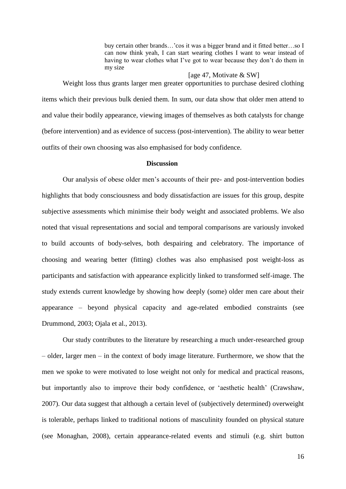buy certain other brands…'cos it was a bigger brand and it fitted better…so I can now think yeah, I can start wearing clothes I want to wear instead of having to wear clothes what I've got to wear because they don't do them in my size

[age 47, Motivate & SW] Weight loss thus grants larger men greater opportunities to purchase desired clothing items which their previous bulk denied them. In sum, our data show that older men attend to and value their bodily appearance, viewing images of themselves as both catalysts for change (before intervention) and as evidence of success (post-intervention). The ability to wear better outfits of their own choosing was also emphasised for body confidence.

# **Discussion**

Our analysis of obese older men's accounts of their pre- and post-intervention bodies highlights that body consciousness and body dissatisfaction are issues for this group, despite subjective assessments which minimise their body weight and associated problems. We also noted that visual representations and social and temporal comparisons are variously invoked to build accounts of body-selves, both despairing and celebratory. The importance of choosing and wearing better (fitting) clothes was also emphasised post weight-loss as participants and satisfaction with appearance explicitly linked to transformed self-image. The study extends current knowledge by showing how deeply (some) older men care about their appearance – beyond physical capacity and age-related embodied constraints (see Drummond, 2003; Ojala et al., 2013).

Our study contributes to the literature by researching a much under-researched group – older, larger men – in the context of body image literature. Furthermore, we show that the men we spoke to were motivated to lose weight not only for medical and practical reasons, but importantly also to improve their body confidence, or 'aesthetic health' (Crawshaw, 2007). Our data suggest that although a certain level of (subjectively determined) overweight is tolerable, perhaps linked to traditional notions of masculinity founded on physical stature (see Monaghan, 2008), certain appearance-related events and stimuli (e.g. shirt button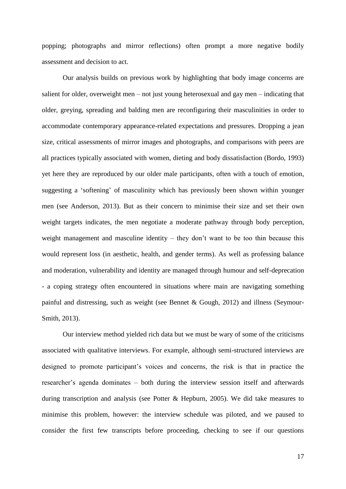popping; photographs and mirror reflections) often prompt a more negative bodily assessment and decision to act.

Our analysis builds on previous work by highlighting that body image concerns are salient for older, overweight men – not just young heterosexual and gay men – indicating that older, greying, spreading and balding men are reconfiguring their masculinities in order to accommodate contemporary appearance-related expectations and pressures. Dropping a jean size, critical assessments of mirror images and photographs, and comparisons with peers are all practices typically associated with women, dieting and body dissatisfaction (Bordo, 1993) yet here they are reproduced by our older male participants, often with a touch of emotion, suggesting a 'softening' of masculinity which has previously been shown within younger men (see Anderson, 2013). But as their concern to minimise their size and set their own weight targets indicates, the men negotiate a moderate pathway through body perception, weight management and masculine identity – they don't want to be too thin because this would represent loss (in aesthetic, health, and gender terms). As well as professing balance and moderation, vulnerability and identity are managed through humour and self-deprecation - a coping strategy often encountered in situations where main are navigating something painful and distressing, such as weight (see Bennet & Gough, 2012) and illness (Seymour-Smith, 2013).

Our interview method yielded rich data but we must be wary of some of the criticisms associated with qualitative interviews. For example, although semi-structured interviews are designed to promote participant's voices and concerns, the risk is that in practice the researcher's agenda dominates – both during the interview session itself and afterwards during transcription and analysis (see Potter & Hepburn, 2005). We did take measures to minimise this problem, however: the interview schedule was piloted, and we paused to consider the first few transcripts before proceeding, checking to see if our questions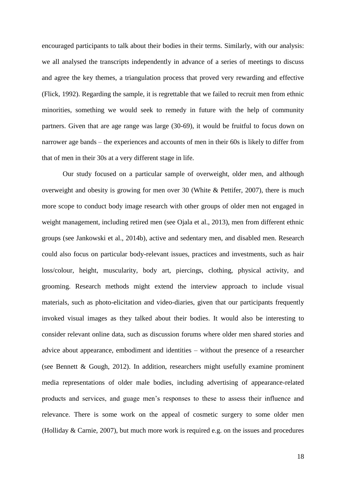encouraged participants to talk about their bodies in their terms. Similarly, with our analysis: we all analysed the transcripts independently in advance of a series of meetings to discuss and agree the key themes, a triangulation process that proved very rewarding and effective (Flick, 1992). Regarding the sample, it is regrettable that we failed to recruit men from ethnic minorities, something we would seek to remedy in future with the help of community partners. Given that are age range was large (30-69), it would be fruitful to focus down on narrower age bands – the experiences and accounts of men in their 60s is likely to differ from that of men in their 30s at a very different stage in life.

Our study focused on a particular sample of overweight, older men, and although overweight and obesity is growing for men over 30 (White & Pettifer, 2007), there is much more scope to conduct body image research with other groups of older men not engaged in weight management, including retired men (see Ojala et al., 2013), men from different ethnic groups (see Jankowski et al., 2014b), active and sedentary men, and disabled men. Research could also focus on particular body-relevant issues, practices and investments, such as hair loss/colour, height, muscularity, body art, piercings, clothing, physical activity, and grooming. Research methods might extend the interview approach to include visual materials, such as photo-elicitation and video-diaries, given that our participants frequently invoked visual images as they talked about their bodies. It would also be interesting to consider relevant online data, such as discussion forums where older men shared stories and advice about appearance, embodiment and identities – without the presence of a researcher (see Bennett & Gough, 2012). In addition, researchers might usefully examine prominent media representations of older male bodies, including advertising of appearance-related products and services, and guage men's responses to these to assess their influence and relevance. There is some work on the appeal of cosmetic surgery to some older men (Holliday & Carnie, 2007), but much more work is required e.g. on the issues and procedures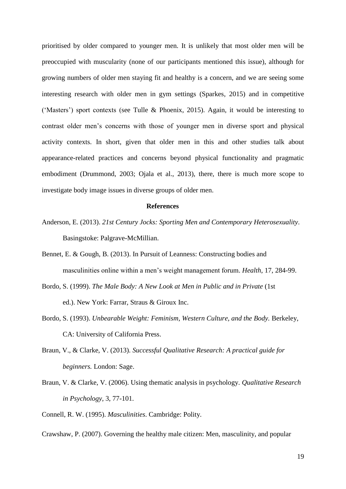prioritised by older compared to younger men. It is unlikely that most older men will be preoccupied with muscularity (none of our participants mentioned this issue), although for growing numbers of older men staying fit and healthy is a concern, and we are seeing some interesting research with older men in gym settings (Sparkes, 2015) and in competitive ('Masters') sport contexts (see Tulle & Phoenix, 2015). Again, it would be interesting to contrast older men's concerns with those of younger men in diverse sport and physical activity contexts. In short, given that older men in this and other studies talk about appearance-related practices and concerns beyond physical functionality and pragmatic embodiment (Drummond, 2003; Ojala et al., 2013), there, there is much more scope to investigate body image issues in diverse groups of older men.

# **References**

- Anderson, E. (2013). *21st Century Jocks: Sporting Men and Contemporary Heterosexuality*. Basingstoke: Palgrave-McMillian.
- Bennet, E. & Gough, B. (2013). In Pursuit of Leanness: Constructing bodies and masculinities online within a men's weight management forum. *Health*, 17, 284-99.
- Bordo, S. (1999). *The Male Body: A New Look at Men in Public and in Private* (1st ed.). New York: Farrar, Straus & Giroux Inc.
- Bordo, S. (1993). *Unbearable Weight: Feminism, Western Culture, and the Body.* Berkeley, CA: University of California Press.
- Braun, V., & Clarke, V. (2013). *Successful Qualitative Research: A practical guide for beginners.* London: Sage.
- Braun, V. & Clarke, V. (2006). Using thematic analysis in psychology. *Qualitative Research in Psychology,* 3, 77-101.
- Connell, R. W. (1995). *Masculinities*. Cambridge: Polity.

Crawshaw, P. (2007). Governing the healthy male citizen: Men, masculinity, and popular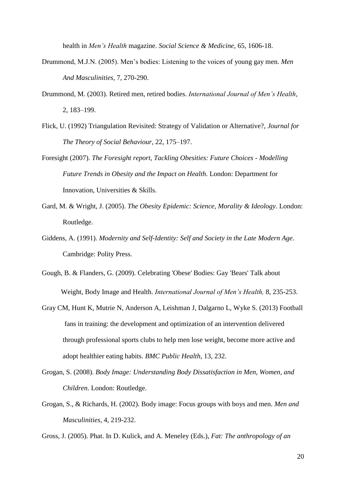health in *Men's Health* magazine. *Social Science & Medicine,* 65, 1606-18.

- Drummond, M.J.N. (2005). Men's bodies: Listening to the voices of young gay men. *Men And Masculinities,* 7, 270-290.
- Drummond, M. (2003). Retired men, retired bodies. *International Journal of Men's Health,* 2, 183–199.
- Flick, U. (1992) Triangulation Revisited: Strategy of Validation or Alternative?, *Journal for The Theory of Social Behaviour*, 22, 175–197.
- Foresight (2007). *The Foresight report, Tackling Obesities: Future Choices - Modelling Future Trends in Obesity and the Impact on Health*. London: Department for Innovation, Universities & Skills.
- Gard, M. & Wright, J. (2005). *The Obesity Epidemic: Science, Morality & Ideology*. London: Routledge.
- Giddens, A. (1991). *Modernity and Self-Identity: Self and Society in the Late Modern Age*. Cambridge: Polity Press.
- Gough, B. & Flanders, G. (2009). Celebrating 'Obese' Bodies: Gay 'Bears' Talk about Weight, Body Image and Health. *International Journal of Men's Health,* 8, 235-253.
- Gray CM, Hunt K, Mutrie N, Anderson A, Leishman J, Dalgarno L, Wyke S. (2013) Football fans in training: the development and optimization of an intervention delivered through professional sports clubs to help men lose weight, become more active and adopt healthier eating habits. *BMC Public Health*, 13, 232.
- Grogan, S. (2008). *Body Image: Understanding Body Dissatisfaction in Men, Women, and Children*. London: Routledge.
- Grogan, S., & Richards, H. (2002). Body image: Focus groups with boys and men. *Men and Masculinities,* 4, 219-232.

Gross, J. (2005). Phat. In D. Kulick, and A. Meneley (Eds.), *Fat: The anthropology of an*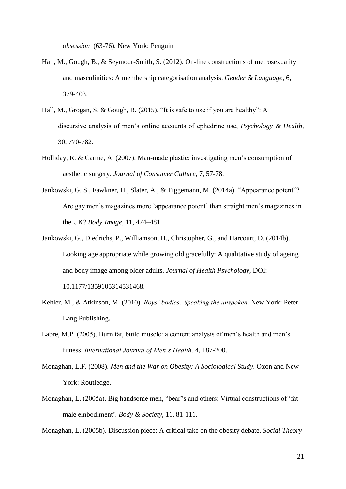*obsession* (63-76)*.* New York: Penguin

- Hall, M., Gough, B., & Seymour-Smith, S. (2012). On-line constructions of metrosexuality and masculinities: A membership categorisation analysis. *Gender & Language*, 6, 379-403.
- Hall, M., Grogan, S. & Gough, B. (2015). "It is safe to use if you are healthy": A discursive analysis of men's online accounts of ephedrine use, *Psychology & Health,*  30, 770-782.
- Holliday, R. & Carnie, A. (2007). Man-made plastic: investigating men's consumption of aesthetic surgery. *Journal of Consumer Culture*, 7, 57-78.
- Jankowski, G. S., Fawkner, H., Slater, A., & Tiggemann, M. (2014a). "Appearance potent"? Are gay men's magazines more 'appearance potent' than straight men's magazines in the UK? *Body Image*, 11, 474–481.
- Jankowski, G., Diedrichs, P., Williamson, H., Christopher, G., and Harcourt, D. (2014b). Looking age appropriate while growing old gracefully: A qualitative study of ageing and body image among older adults. *Journal of Health Psychology*, DOI: 10.1177/1359105314531468.
- Kehler, M., & Atkinson, M. (2010). *Boys' bodies: Speaking the unspoken*. New York: Peter Lang Publishing.
- Labre, M.P. (2005). Burn fat, build muscle: a content analysis of men's health and men's fitness. *International Journal of Men's Health,* 4, 187-200.
- Monaghan, L.F. (2008). *Men and the War on Obesity: A Sociological Study*. Oxon and New York: Routledge.
- Monaghan, L. (2005a). Big handsome men, "bear"s and others: Virtual constructions of 'fat male embodiment'. *Body & Society,* 11, 81-111.

Monaghan, L. (2005b). Discussion piece: A critical take on the obesity debate. *Social Theory*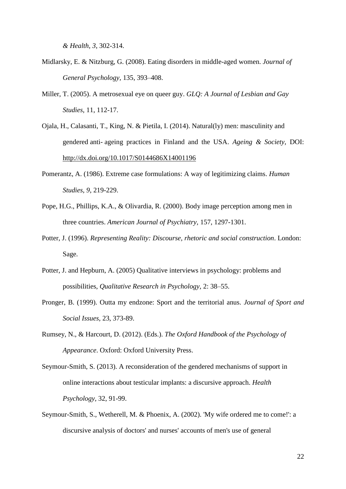*& Health*, *3*, 302-314.

- Midlarsky, E. & Nitzburg, G. (2008). Eating disorders in middle-aged women. *Journal of General Psychology,* 135, 393–408.
- Miller, T. (2005). A metrosexual eye on queer guy. *GLQ: A Journal of Lesbian and Gay Studies*, 11, 112-17.
- Ojala, H., Calasanti, T., King, N. & Pietila, I. (2014). Natural(ly) men: masculinity and gendered anti- ageing practices in Finland and the USA. *Ageing & Society*, DOI[:](http://dx.doi.org/10.1017/S0144686X14001196) <http://dx.doi.org/10.1017/S0144686X14001196>
- Pomerantz, A. (1986). Extreme case formulations: A way of legitimizing claims. *Human Studies*, *9*, 219-229.
- Pope, H.G., Phillips, K.A., & Olivardia, R. (2000). Body image perception among men in three countries. *American Journal of Psychiatry,* 157, 1297-1301.
- Potter, J. (1996). *Representing Reality: Discourse, rhetoric and social construction*. London: Sage.
- Potter, J. and Hepburn, A. (2005) Qualitative interviews in psychology: problems and possibilities, *Qualitative Research in Psychology*, 2: 38–55.
- Pronger, B. (1999). Outta my endzone: Sport and the territorial anus. *Journal of Sport and Social Issues,* 23, 373-89.
- Rumsey, N., & Harcourt, D. (2012). (Eds.). *The Oxford Handbook of the Psychology of Appearance*. Oxford: Oxford University Press.
- Seymour-Smith, S. (2013). A reconsideration of the gendered mechanisms of support in online interactions about testicular implants: a discursive approach. *Health Psychology,* 32, 91-99.
- Seymour-Smith, S., Wetherell, M. & Phoenix, A. (2002). 'My wife ordered me to come!': a discursive analysis of doctors' and nurses' accounts of men's use of general